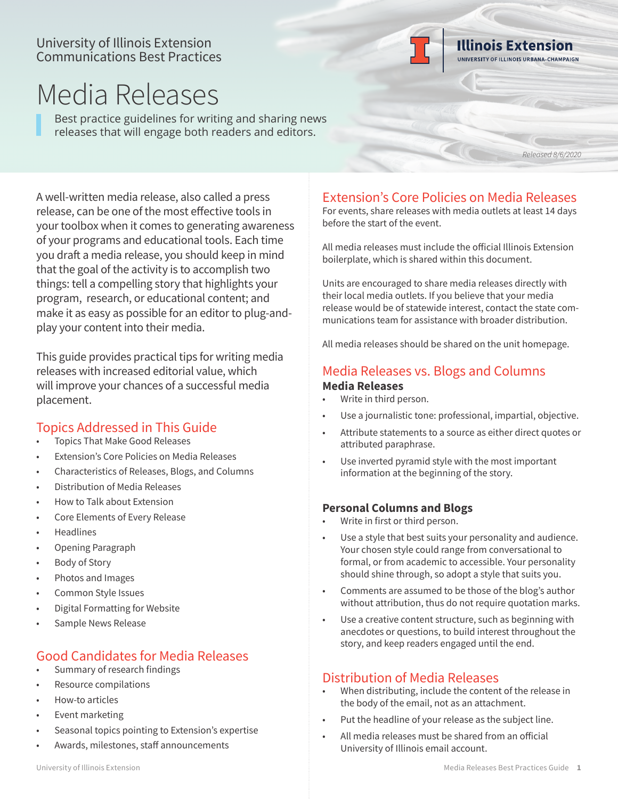## University of Illinois Extension Communications Best Practices



# Media Releases

Best practice guidelines for writing and sharing news releases that will engage both readers and editors.

*Released 8/6/2020*

A well-written media release, also called a press release, can be one of the most effective tools in your toolbox when it comes to generating awareness of your programs and educational tools. Each time you draft a media release, you should keep in mind that the goal of the activity is to accomplish two things: tell a compelling story that highlights your program, research, or educational content; and make it as easy as possible for an editor to plug-andplay your content into their media.

This guide provides practical tips for writing media releases with increased editorial value, which will improve your chances of a successful media placement.

# Topics Addressed in This Guide

- Topics That Make Good Releases
- Extension's Core Policies on Media Releases
- Characteristics of Releases, Blogs, and Columns
- Distribution of Media Releases
- How to Talk about Extension
- Core Elements of Every Release
- **Headlines**
- Opening Paragraph
- Body of Story
- Photos and Images
- Common Style Issues
- Digital Formatting for Website
- Sample News Release

# Good Candidates for Media Releases

- Summary of research findings
- Resource compilations
- How-to articles
- **Event marketing**
- Seasonal topics pointing to Extension's expertise
- Awards, milestones, staff announcements

# Extension's Core Policies on Media Releases

For events, share releases with media outlets at least 14 days before the start of the event.

All media releases must include the official Illinois Extension boilerplate, which is shared within this document.

Units are encouraged to share media releases directly with their local media outlets. If you believe that your media release would be of statewide interest, contact the state communications team for assistance with broader distribution.

All media releases should be shared on the unit homepage.

# Media Releases vs. Blogs and Columns

#### **Media Releases**

- Write in third person.
- Use a journalistic tone: professional, impartial, objective.
- Attribute statements to a source as either direct quotes or attributed paraphrase.
- Use inverted pyramid style with the most important information at the beginning of the story.

## **Personal Columns and Blogs**

- Write in first or third person.
- Use a style that best suits your personality and audience. Your chosen style could range from conversational to formal, or from academic to accessible. Your personality should shine through, so adopt a style that suits you.
- Comments are assumed to be those of the blog's author without attribution, thus do not require quotation marks.
- Use a creative content structure, such as beginning with anecdotes or questions, to build interest throughout the story, and keep readers engaged until the end.

# Distribution of Media Releases

- When distributing, include the content of the release in the body of the email, not as an attachment.
- Put the headline of your release as the subject line.
- All media releases must be shared from an official University of Illinois email account.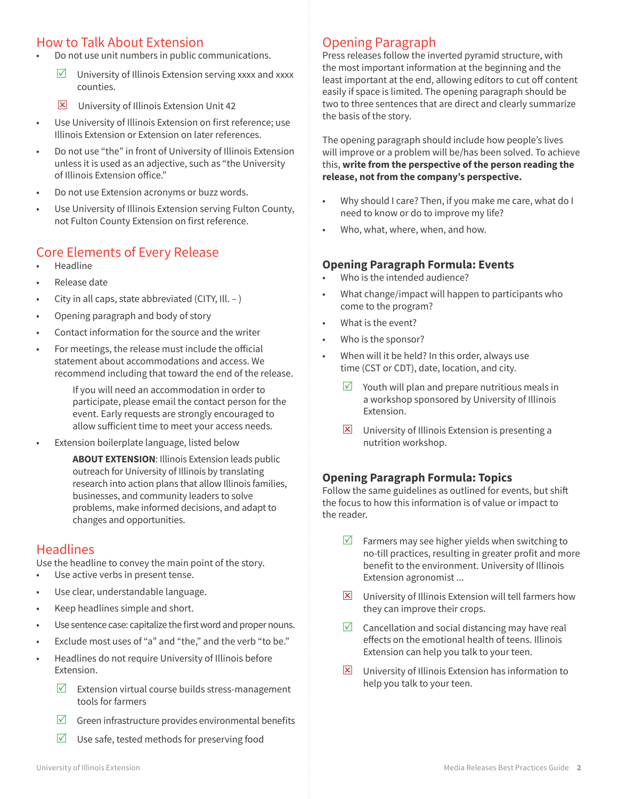# How to Talk About Extension

- Do not use unit numbers in public communications.
	- $\triangledown$  University of Illinois Extension serving xxxx and xxxx counties.
	- **E** University of Illinois Extension Unit 42
- Use University of Illinois Extension on first reference; use Illinois Extension or Extension on later references.
- Do not use "the" in front of University of Illinois Extension unless it is used as an adjective, such as "the University of Illinois Extension office."
- Do not use Extension acronyms or buzz words.
- Use University of Illinois Extension serving Fulton County, not Fulton County Extension on first reference.

# Core Elements of Every Release

- **Headline**
- Release date
- City in all caps, state abbreviated (CITY, Ill. )
- Opening paragraph and body of story
- Contact information for the source and the writer
- For meetings, the release must include the official statement about accommodations and access. We recommend including that toward the end of the release.

If you will need an accommodation in order to participate, please email the contact person for the event. Early requests are strongly encouraged to allow sufficient time to meet your access needs.

Extension boilerplate language, listed below

**ABOUT EXTENSION**: Illinois Extension leads public outreach for University of Illinois by translating research into action plans that allow Illinois families, businesses, and community leaders to solve problems, make informed decisions, and adapt to changes and opportunities.

#### **Headlines**

Use the headline to convey the main point of the story.

- Use active verbs in present tense.
- Use clear, understandable language.
- Keep headlines simple and short.
- Use sentence case: capitalize the first word and proper nouns.
- Exclude most uses of "a" and "the," and the verb "to be."
- Headlines do not require University of Illinois before Extension.
	- $\triangledown$  Extension virtual course builds stress-management tools for farmers
	- $\triangledown$  Green infrastructure provides environmental benefits
	- $\triangledown$  Use safe, tested methods for preserving food

# Opening Paragraph

Press releases follow the inverted pyramid structure, with the most important information at the beginning and the least important at the end, allowing editors to cut off content easily if space is limited. The opening paragraph should be two to three sentences that are direct and clearly summarize the basis of the story.

The opening paragraph should include how people's lives will improve or a problem will be/has been solved. To achieve this, **write from the perspective of the person reading the release, not from the company's perspective.** 

- Why should I care? Then, if you make me care, what do I need to know or do to improve my life?
- Who, what, where, when, and how.

#### **Opening Paragraph Formula: Events**

- Who is the intended audience?
- What change/impact will happen to participants who come to the program?
- What is the event?
- Who is the sponsor?
- When will it be held? In this order, always use time (CST or CDT), date, location, and city.
	- $\triangledown$  Youth will plan and prepare nutritious meals in a workshop sponsored by University of Illinois Extension.
	- $\boxtimes$  University of Illinois Extension is presenting a nutrition workshop.

#### **Opening Paragraph Formula: Topics**

Follow the same guidelines as outlined for events, but shift the focus to how this information is of value or impact to the reader.

- $\triangledown$  Farmers may see higher yields when switching to no-till practices, resulting in greater profit and more benefit to the environment. University of Illinois Extension agronomist ...
- $\Sigma$  University of Illinois Extension will tell farmers how they can improve their crops.
- $\triangledown$  Cancellation and social distancing may have real effects on the emotional health of teens. Illinois Extension can help you talk to your teen.
- $\boxtimes$  University of Illinois Extension has information to help you talk to your teen.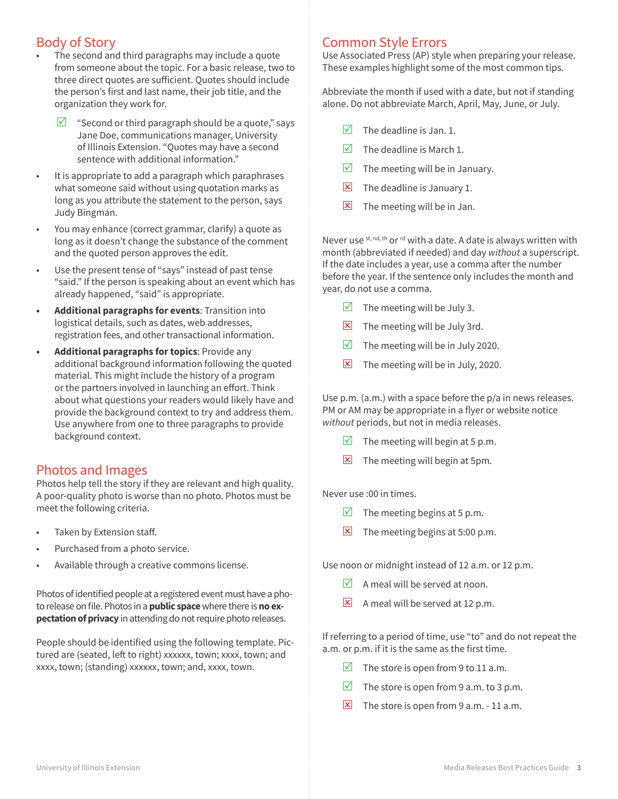# Body of Story

- The second and third paragraphs may include a quote from someone about the topic. For a basic release, two to three direct quotes are sufficient. Quotes should include the person's first and last name, their job title, and the organization they work for.
- $\triangledown$  "Second or third paragraph should be a quote," says Jane Doe, communications manager, University of Illinois Extension. "Quotes may have a second sentence with additional information."
- It is appropriate to add a paragraph which paraphrases what someone said without using quotation marks as long as you attribute the statement to the person, says Judy Bingman.
- You may enhance (correct grammar, clarify) a quote as long as it doesn't change the substance of the comment and the quoted person approves the edit.
- Use the present tense of "says" instead of past tense "said." If the person is speaking about an event which has already happened, "said" is appropriate.
- **• Additional paragraphs for events**: Transition into logistical details, such as dates, web addresses, registration fees, and other transactional information.
- **• Additional paragraphs for topics**: Provide any additional background information following the quoted material. This might include the history of a program or the partners involved in launching an effort. Think about what questions your readers would likely have and provide the background context to try and address them. Use anywhere from one to three paragraphs to provide background context.

## Photos and Images

Photos help tell the story if they are relevant and high quality. A poor-quality photo is worse than no photo. Photos must be meet the following criteria.

- Taken by Extension staff.
- Purchased from a photo service.
- Available through a creative commons license.

Photos of identified people at a registered event must have a photo release on file. Photos in a **public space** where there is **no expectation of privacy** in attending do not require photo releases.

People should be identified using the following template. Pictured are (seated, left to right) xxxxxx, town; xxxx, town; and xxxx, town; (standing) xxxxxx, town; and, xxxx, town.

## Common Style Errors

Use Associated Press (AP) style when preparing your release. These examples highlight some of the most common tips.

Abbreviate the month if used with a date, but not if standing alone. Do not abbreviate March, April, May, June, or July.

- $\triangledown$  The deadline is Jan. 1.
- $\overline{M}$  The deadline is March 1.
- $\triangledown$  The meeting will be in January.
- $\boxtimes$  The deadline is January 1.
- $\Sigma$  The meeting will be in Jan.

Never use st, nd, th or rd with a date. A date is always written with month (abbreviated if needed) and day *without* a superscript. If the date includes a year, use a comma after the number before the year. If the sentence only includes the month and year, do not use a comma.

- $\triangledown$  The meeting will be July 3.
- $\Sigma$  The meeting will be July 3rd.
- $\triangledown$  The meeting will be in July 2020.
- $\Sigma$  The meeting will be in July, 2020.

Use p.m. (a.m.) with a space before the p/a in news releases. PM or AM may be appropriate in a flyer or website notice *without* periods, but not in media releases.

- $\triangledown$  The meeting will begin at 5 p.m.
- $\Sigma$  The meeting will begin at 5pm.

#### Never use :00 in times.

- $\triangledown$  The meeting begins at 5 p.m.
- $\Sigma$  The meeting begins at 5:00 p.m.

Use noon or midnight instead of 12 a.m. or 12 p.m.

- $\triangledown$  A meal will be served at noon.
- $\boxed{\mathbf{X}}$  A meal will be served at 12 p.m.

If referring to a period of time, use "to" and do not repeat the a.m. or p.m. if it is the same as the first time.

- The store is open from 9 to 11 a.m.
- The store is open from 9 a.m. to 3 p.m.
- $\boxed{\times}$  The store is open from 9 a.m. 11 a.m.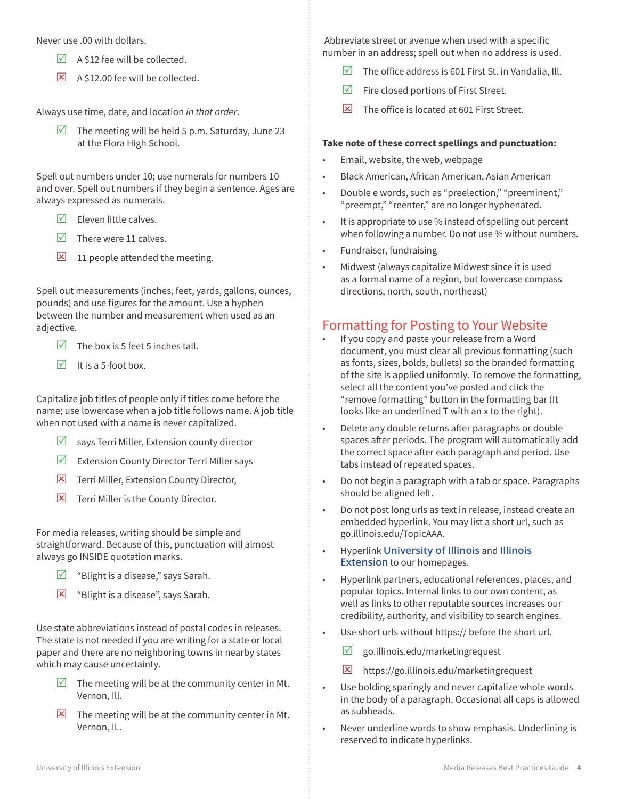Never use .00 with dollars.

- $\triangledown$  A \$12 fee will be collected.
- **E** A \$12.00 fee will be collected.

Always use time, date, and location *in that order*.

 $\triangledown$  The meeting will be held 5 p.m. Saturday, June 23 at the Flora High School.

Spell out numbers under 10; use numerals for numbers 10 and over. Spell out numbers if they begin a sentence. Ages are always expressed as numerals.

- $\nabla$  Eleven little calves.
- $\triangledown$  There were 11 calves.
- $\boxed{\mathbf{X}}$  11 people attended the meeting.

Spell out measurements (inches, feet, yards, gallons, ounces, pounds) and use figures for the amount. Use a hyphen between the number and measurement when used as an adjective.

- $\triangledown$  The box is 5 feet 5 inches tall.
- $\triangledown$  It is a 5-foot box.

Capitalize job titles of people only if titles come before the name; use lowercase when a job title follows name. A job title when not used with a name is never capitalized.

- $\triangledown$  says Terri Miller, Extension county director
- $\triangledown$  Extension County Director Terri Miller says
- $\boxtimes$  Terri Miller, Extension County Director,
- $\boxtimes$  Terri Miller is the County Director.

For media releases, writing should be simple and straightforward. Because of this, punctuation will almost always go INSIDE quotation marks.

- $\triangledown$  "Blight is a disease," says Sarah.
- **E** "Blight is a disease", says Sarah.

Use state abbreviations instead of postal codes in releases. The state is not needed if you are writing for a state or local paper and there are no neighboring towns in nearby states which may cause uncertainty.

- $\triangledown$  The meeting will be at the community center in Mt. Vernon, Ill.
- $\Sigma$  The meeting will be at the community center in Mt. Vernon, IL.

 Abbreviate street or avenue when used with a specific number in an address; spell out when no address is used.

- $\triangledown$  The office address is 601 First St. in Vandalia, Ill.
- $\triangledown$  Fire closed portions of First Street.
- $\triangleright$  The office is located at 601 First Street.

#### **Take note of these correct spellings and punctuation:**

- Email, website, the web, webpage
- Black American, African American, Asian American
- Double e words, such as "preelection," "preeminent," "preempt," "reenter," are no longer hyphenated.
- It is appropriate to use % instead of spelling out percent when following a number. Do not use % without numbers.
- Fundraiser, fundraising
- Midwest (always capitalize Midwest since it is used as a formal name of a region, but lowercase compass directions, north, south, northeast)

## Formatting for Posting to Your Website

- If you copy and paste your release from a Word document, you must clear all previous formatting (such as fonts, sizes, bolds, bullets) so the branded formatting of the site is applied uniformly. To remove the formatting, select all the content you've posted and click the "remove formatting" button in the formatting bar (It looks like an underlined T with an x to the right).
- Delete any double returns after paragraphs or double spaces after periods. The program will automatically add the correct space after each paragraph and period. Use tabs instead of repeated spaces.
- Do not begin a paragraph with a tab or space. Paragraphs should be aligned left.
- Do not post long urls as text in release, instead create an embedded hyperlink. You may list a short url, such as go.illinois.edu/TopicAAA.
- Hyperlink **[University of Illinois](http://University of Illinois)** and **[Illinois](http://extension.illinois.edu)  [Extension](http://extension.illinois.edu)** to our homepages.
- Hyperlink partners, educational references, places, and popular topics. Internal links to our own content, as well as links to other reputable sources increases our credibility, authority, and visibility to search engines.
- Use short urls without https:// before the short url.
	- $\triangledown$  go.illinois.edu/marketingrequest
	- $\overline{\mathbf{X}}$  https://go.illinois.edu/marketingrequest
- Use bolding sparingly and never capitalize whole words in the body of a paragraph. Occasional all caps is allowed as subheads.
- Never underline words to show emphasis. Underlining is reserved to indicate hyperlinks.